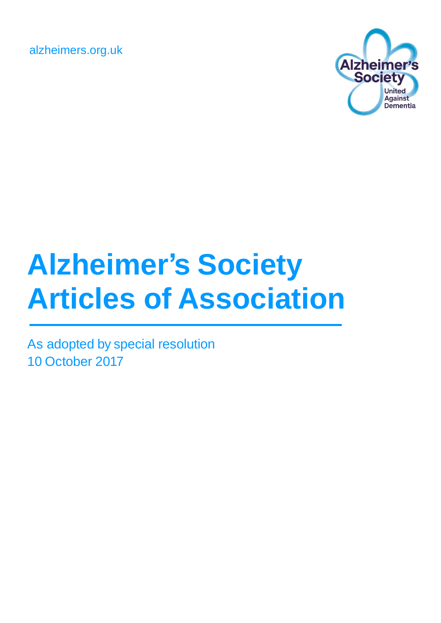alzheimers.org.uk



# **Alzheimer's Society Articles of Association**

As adopted by special resolution 10 October 2017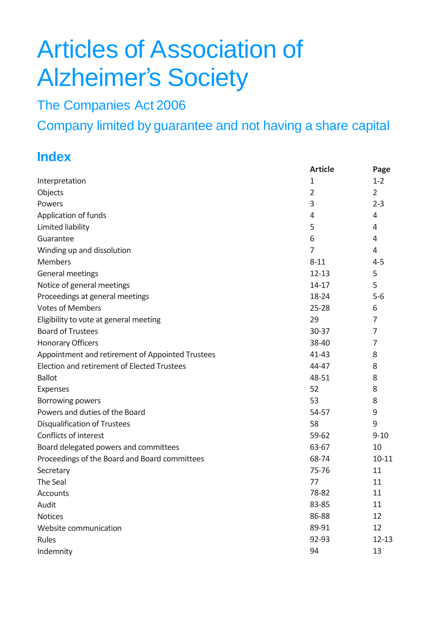# Articles of Association of Alzheimer's Society

The Companies Act 2006

Company limited by guarantee and not having a share capital

# **Index**

|                                                  | <b>Article</b> | Page           |
|--------------------------------------------------|----------------|----------------|
| Interpretation                                   | 1              | $1 - 2$        |
| Objects                                          | $\overline{2}$ | $\overline{2}$ |
| Powers                                           | 3              | $2 - 3$        |
| Application of funds                             | 4              | 4              |
| Limited liability                                | 5              | 4              |
| Guarantee                                        | 6              | 4              |
| Winding up and dissolution                       | 7              | 4              |
| <b>Members</b>                                   | $8 - 11$       | $4 - 5$        |
| General meetings                                 | $12 - 13$      | 5              |
| Notice of general meetings                       | $14 - 17$      | 5              |
| Proceedings at general meetings                  | 18-24          | $5-6$          |
| <b>Votes of Members</b>                          | $25 - 28$      | 6              |
| Eligibility to vote at general meeting           | 29             | 7              |
| <b>Board of Trustees</b>                         | $30 - 37$      | 7              |
| <b>Honorary Officers</b>                         | 38-40          | 7              |
| Appointment and retirement of Appointed Trustees | $41 - 43$      | 8              |
| Election and retirement of Elected Trustees      | 44-47          | 8              |
| <b>Ballot</b>                                    | 48-51          | 8              |
| Expenses                                         | 52             | 8              |
| Borrowing powers                                 | 53             | 8              |
| Powers and duties of the Board                   | 54-57          | 9              |
| <b>Disqualification of Trustees</b>              | 58             | 9              |
| Conflicts of interest                            | $59 - 62$      | $9 - 10$       |
| Board delegated powers and committees            | 63-67          | 10             |
| Proceedings of the Board and Board committees    | 68-74          | $10 - 11$      |
| Secretary                                        | 75-76          | 11             |
| The Seal                                         | 77             | 11             |
| Accounts                                         | 78-82          | 11             |
| Audit                                            | 83-85          | 11             |
| <b>Notices</b>                                   | 86-88          | 12             |
| Website communication                            | 89-91          | 12             |
| Rules                                            | 92-93          | $12 - 13$      |
| Indemnity                                        | 94             | 13             |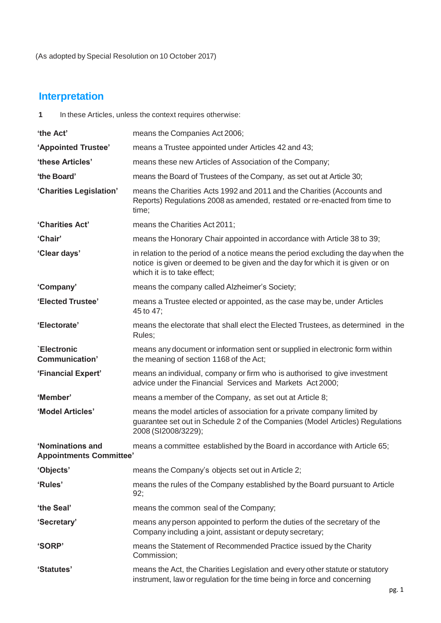## **Interpretation**

**1** In these Articles, unless the context requires otherwise:

| 'the Act'                                          | means the Companies Act 2006;                                                                                                                                                                     |
|----------------------------------------------------|---------------------------------------------------------------------------------------------------------------------------------------------------------------------------------------------------|
| 'Appointed Trustee'                                | means a Trustee appointed under Articles 42 and 43;                                                                                                                                               |
| 'these Articles'                                   | means these new Articles of Association of the Company;                                                                                                                                           |
| 'the Board'                                        | means the Board of Trustees of the Company, as set out at Article 30;                                                                                                                             |
| 'Charities Legislation'                            | means the Charities Acts 1992 and 2011 and the Charities (Accounts and<br>Reports) Regulations 2008 as amended, restated or re-enacted from time to<br>time;                                      |
| 'Charities Act'                                    | means the Charities Act 2011;                                                                                                                                                                     |
| 'Chair'                                            | means the Honorary Chair appointed in accordance with Article 38 to 39;                                                                                                                           |
| 'Clear days'                                       | in relation to the period of a notice means the period excluding the day when the<br>notice is given or deemed to be given and the day for which it is given or on<br>which it is to take effect; |
| 'Company'                                          | means the company called Alzheimer's Society;                                                                                                                                                     |
| 'Elected Trustee'                                  | means a Trustee elected or appointed, as the case may be, under Articles<br>45 to 47;                                                                                                             |
| 'Electorate'                                       | means the electorate that shall elect the Elected Trustees, as determined in the<br>Rules;                                                                                                        |
| `Electronic<br>Communication'                      | means any document or information sent or supplied in electronic form within<br>the meaning of section 1168 of the Act;                                                                           |
| 'Financial Expert'                                 | means an individual, company or firm who is authorised to give investment<br>advice under the Financial Services and Markets Act 2000;                                                            |
| 'Member'                                           | means a member of the Company, as set out at Article 8;                                                                                                                                           |
| 'Model Articles'                                   | means the model articles of association for a private company limited by<br>guarantee set out in Schedule 2 of the Companies (Model Articles) Regulations<br>2008 (SI2008/3229);                  |
| 'Nominations and<br><b>Appointments Committee'</b> | means a committee established by the Board in accordance with Article 65;                                                                                                                         |
| 'Objects'                                          | means the Company's objects set out in Article 2;                                                                                                                                                 |
| 'Rules'                                            | means the rules of the Company established by the Board pursuant to Article<br>92;                                                                                                                |
| 'the Seal'                                         | means the common seal of the Company;                                                                                                                                                             |
| 'Secretary'                                        | means any person appointed to perform the duties of the secretary of the<br>Company including a joint, assistant or deputy secretary;                                                             |
| 'SORP'                                             | means the Statement of Recommended Practice issued by the Charity<br>Commission;                                                                                                                  |
| 'Statutes'                                         | means the Act, the Charities Legislation and every other statute or statutory<br>instrument, law or regulation for the time being in force and concerning                                         |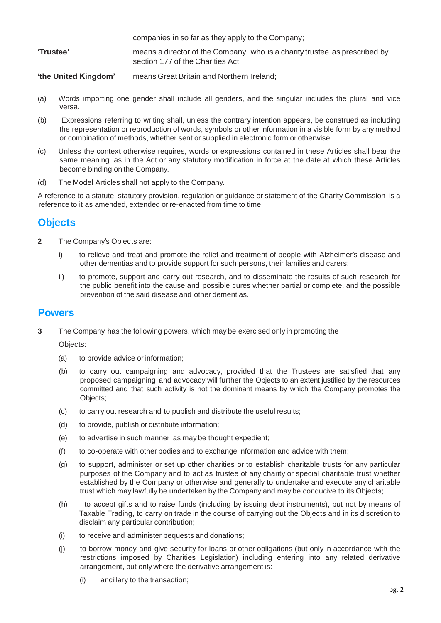companies in so far as they apply to the Company;

- **'Trustee'** means a director of the Company, who is a charity trustee as prescribed by section 177 of the Charities Act
- **'the United Kingdom'** means Great Britain and Northern Ireland;
- (a) Words importing one gender shall include all genders, and the singular includes the plural and vice versa.
- (b) Expressions referring to writing shall, unless the contrary intention appears, be construed as including the representation or reproduction of words, symbols or other information in a visible form by any method or combination of methods, whether sent or supplied in electronic form or otherwise.
- (c) Unless the context otherwise requires, words or expressions contained in these Articles shall bear the same meaning as in the Act or any statutory modification in force at the date at which these Articles become binding on the Company.
- (d) The Model Articles shall not apply to the Company.

A reference to a statute, statutory provision, regulation or guidance or statement of the Charity Commission is a reference to it as amended, extended or re-enacted from time to time.

#### **Objects**

- **2** The Company's Objects are:
	- i) to relieve and treat and promote the relief and treatment of people with Alzheimer's disease and other dementias and to provide support for such persons, their families and carers;
	- ii) to promote, support and carry out research, and to disseminate the results of such research for the public benefit into the cause and possible cures whether partial or complete, and the possible prevention of the said disease and other dementias.

#### **Powers**

**3** The Company has the following powers, which may be exercised only in promoting the

Objects:

- (a) to provide advice or information;
- (b) to carry out campaigning and advocacy, provided that the Trustees are satisfied that any proposed campaigning and advocacy will further the Objects to an extent justified by the resources committed and that such activity is not the dominant means by which the Company promotes the Objects;
- (c) to carry out research and to publish and distribute the useful results;
- (d) to provide, publish or distribute information;
- (e) to advertise in such manner as may be thought expedient;
- (f) to co-operate with other bodies and to exchange information and advice with them;
- (g) to support, administer or set up other charities or to establish charitable trusts for any particular purposes of the Company and to act as trustee of any charity or special charitable trust whether established by the Company or otherwise and generally to undertake and execute any charitable trust which may lawfully be undertaken by the Company and may be conducive to its Objects;
- (h) to accept gifts and to raise funds (including by issuing debt instruments), but not by means of Taxable Trading, to carry on trade in the course of carrying out the Objects and in its discretion to disclaim any particular contribution;
- (i) to receive and administer bequests and donations;
- (j) to borrow money and give security for loans or other obligations (but only in accordance with the restrictions imposed by Charities Legislation) including entering into any related derivative arrangement, but only where the derivative arrangement is:
	- (i) ancillary to the transaction;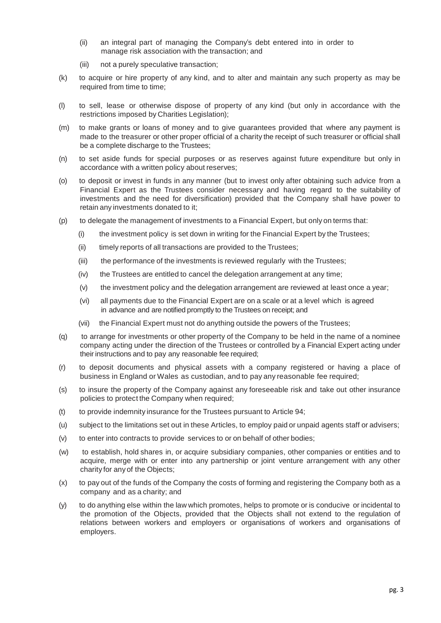- (ii) an integral part of managing the Company's debt entered into in order to manage risk association with the transaction; and
- (iii) not a purely speculative transaction;
- (k) to acquire or hire property of any kind, and to alter and maintain any such property as may be required from time to time;
- (l) to sell, lease or otherwise dispose of property of any kind (but only in accordance with the restrictions imposed by Charities Legislation);
- (m) to make grants or loans of money and to give guarantees provided that where any payment is made to the treasurer or other proper official of a charity the receipt of such treasurer or official shall be a complete discharge to the Trustees;
- (n) to set aside funds for special purposes or as reserves against future expenditure but only in accordance with a written policy about reserves;
- (o) to deposit or invest in funds in any manner (but to invest only after obtaining such advice from a Financial Expert as the Trustees consider necessary and having regard to the suitability of investments and the need for diversification) provided that the Company shall have power to retain any investments donated to it;
- (p) to delegate the management of investments to a Financial Expert, but only on terms that:
	- (i) the investment policy is set down in writing for the Financial Expert by the Trustees;
	- (ii) timely reports of all transactions are provided to the Trustees;
	- (iii) the performance of the investments is reviewed regularly with the Trustees;
	- (iv) the Trustees are entitled to cancel the delegation arrangement at any time;
	- (v) the investment policy and the delegation arrangement are reviewed at least once a year;
	- (vi) all payments due to the Financial Expert are on a scale or at a level which is agreed in advance and are notified promptly to the Trustees on receipt; and
	- (vii) the Financial Expert must not do anything outside the powers of the Trustees;
- (q) to arrange for investments or other property of the Company to be held in the name of a nominee company acting under the direction of the Trustees or controlled by a Financial Expert acting under their instructions and to pay any reasonable fee required;
- (r) to deposit documents and physical assets with a company registered or having a place of business in England or Wales as custodian, and to pay any reasonable fee required;
- (s) to insure the property of the Company against any foreseeable risk and take out other insurance policies to protect the Company when required;
- (t) to provide indemnity insurance for the Trustees pursuant to Article 94;
- (u) subject to the limitations set out in these Articles, to employ paid or unpaid agents staff or advisers;
- (v) to enter into contracts to provide services to or on behalf of other bodies;
- (w) to establish, hold shares in, or acquire subsidiary companies, other companies or entities and to acquire, merge with or enter into any partnership or joint venture arrangement with any other charity for any of the Objects;
- (x) to pay out of the funds of the Company the costs of forming and registering the Company both as a company and as a charity; and
- (y) to do anything else within the law which promotes, helps to promote or is conducive or incidental to the promotion of the Objects, provided that the Objects shall not extend to the regulation of relations between workers and employers or organisations of workers and organisations of employers.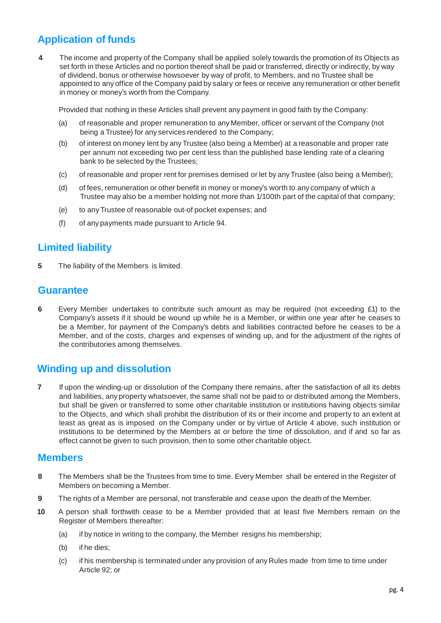### **Application of funds**

**4** The income and property of the Company shall be applied solely towards the promotion of its Objects as set forth in these Articles and no portion thereof shall be paid or transferred, directly or indirectly, by way of dividend, bonus or otherwise howsoever by way of profit, to Members, and no Trustee shall be appointed to any office of the Company paid by salary or fees or receive any remuneration or other benefit in money or money's worth from the Company.

Provided that nothing in these Articles shall prevent any payment in good faith by the Company:

- (a) of reasonable and proper remuneration to any Member, officer or servant of the Company (not being a Trustee) for any services rendered to the Company;
- (b) of interest on money lent by anyTrustee (also being a Member) at a reasonable and proper rate per annum not exceeding two per cent less than the published base lending rate of a clearing bank to be selected by the Trustees;
- (c) of reasonable and proper rent for premises demised or let by anyTrustee (also being a Member);
- (d) of fees, remuneration or other benefit in money or money's worth to any company of which a Trustee may also be a member holding not more than 1/100th part of the capital of that company;
- (e) to anyTrustee of reasonable out-of pocket expenses; and
- (f) of any payments made pursuant to Article 94.

#### **Limited liability**

**5** The liability of the Members is limited.

#### **Guarantee**

**6** Every Member undertakes to contribute such amount as may be required (not exceeding £1) to the Company's assets if it should be wound up while he is a Member, or within one year after he ceases to be a Member, for payment of the Company's debts and liabilities contracted before he ceases to be a Member, and of the costs, charges and expenses of winding up, and for the adjustment of the rights of the contributories among themselves.

#### **Winding up and dissolution**

**7** If upon the winding-up or dissolution of the Company there remains, after the satisfaction of all its debts and liabilities, any property whatsoever, the same shall not be paid to or distributed among the Members, but shall be given or transferred to some other charitable institution or institutions having objects similar to the Objects, and which shall prohibit the distribution of its or their income and property to an extent at least as great as is imposed on the Company under or by virtue of Article 4 above, such institution or institutions to be determined by the Members at or before the time of dissolution, and if and so far as effect cannot be given to such provision, then to some other charitable object.

#### **Members**

- **8** The Members shall be the Trustees from time to time. Every Member shall be entered in the Register of Members on becoming a Member.
- **9** The rights of a Member are personal, not transferable and cease upon the death of the Member.
- **10** A person shall forthwith cease to be a Member provided that at least five Members remain on the Register of Members thereafter:
	- (a) if by notice in writing to the company, the Member resigns his membership;
	- (b) if he dies;
	- (c) if his membership is terminated under any provision of any Rules made from time to time under Article 92; or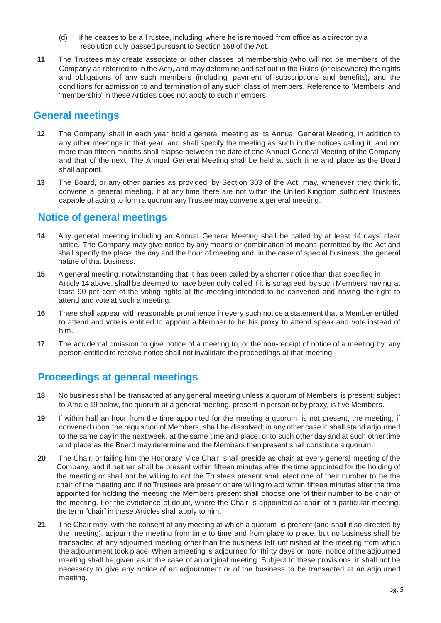- (d) if he ceases to be a Trustee, including where he is removed from office as a director by a resolution duly passed pursuant to Section 168 of the Act.
- **11** The Trustees may create associate or other classes of membership (who will not be members of the Company as referred to in the Act), and may determine and set out in the Rules (or elsewhere) the rights and obligations of any such members (including payment of subscriptions and benefits), and the conditions for admission to and termination of any such class of members. Reference to 'Members' and 'membership' in these Articles does not apply to such members.

#### **General meetings**

- **12** The Company shall in each year hold a general meeting as its Annual General Meeting, in addition to any other meetings in that year, and shall specify the meeting as such in the notices calling it; and not more than fifteen months shall elapse between the date of one Annual General Meeting of the Company and that of the next. The Annual General Meeting shall be held at such time and place as the Board shall appoint.
- **13** The Board, or any other parties as provided by Section 303 of the Act, may, whenever they think fit, convene a general meeting. If at any time there are not within the United Kingdom sufficient Trustees capable of acting to form a quorum anyTrustee may convene a general meeting.

#### **Notice of general meetings**

- **14** Any general meeting including an Annual General Meeting shall be called by at least 14 days' clear notice. The Company may give notice by any means or combination of means permitted by the Act and shall specify the place, the day and the hour of meeting and, in the case of special business, the general nature of that business.
- **15** A general meeting, notwithstanding that it has been called by a shorter notice than that specified in Article 14 above, shall be deemed to have been duly called if it is so agreed by such Members having at least 90 per cent of the voting rights at the meeting intended to be convened and having the right to attend and vote at such a meeting.
- **16** There shall appear with reasonable prominence in every such notice a statement that a Member entitled to attend and vote is entitled to appoint a Member to be his proxy to attend speak and vote instead of him.
- **17** The accidental omission to give notice of a meeting to, or the non-receipt of notice of a meeting by, any person entitled to receive notice shall not invalidate the proceedings at that meeting.

#### **Proceedings at general meetings**

- **18** No business shall be transacted at any general meeting unless a quorum of Members is present; subject to Article 19 below, the quorum at a general meeting, present in person or by proxy, is five Members.
- **19** If within half an hour from the time appointed for the meeting a quorum is not present, the meeting, if convened upon the requisition of Members, shall be dissolved; in any other case it shall stand adjourned to the same day in the next week, at the same time and place, or to such other day and at such other time and place as the Board may determine and the Members then present shall constitute a quorum.
- **20** The Chair, or failing him the Honorary Vice Chair, shall preside as chair at every general meeting of the Company, and if neither shall be present within fifteen minutes after the time appointed for the holding of the meeting or shall not be willing to act the Trustees present shall elect one of their number to be the chair of the meeting and if no Trustees are present or are willing to act within fifteen minutes after the time appointed for holding the meeting the Members present shall choose one of their number to be chair of the meeting. For the avoidance of doubt, where the Chair is appointed as chair of a particular meeting, the term "chair" in these Articles shall apply to him.
- **21** The Chair may, with the consent of any meeting at which a quorum is present (and shall if so directed by the meeting), adjourn the meeting from time to time and from place to place, but no business shall be transacted at any adjourned meeting other than the business left unfinished at the meeting from which the adjournment took place. When a meeting is adjourned for thirty days or more, notice of the adjourned meeting shall be given as in the case of an original meeting. Subject to these provisions, it shall not be necessary to give any notice of an adjournment or of the business to be transacted at an adjourned meeting.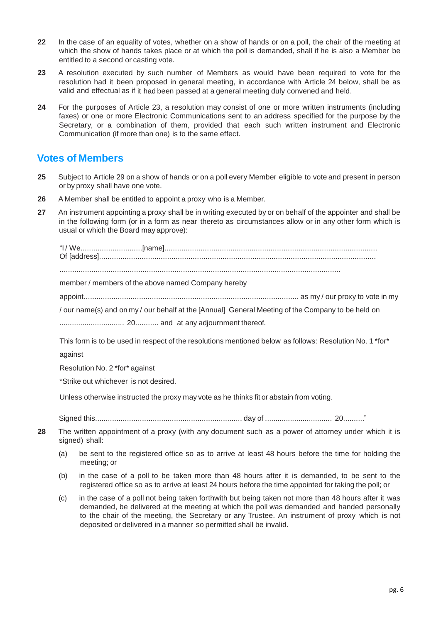- **22** In the case of an equality of votes, whether on a show of hands or on a poll, the chair of the meeting at which the show of hands takes place or at which the poll is demanded, shall if he is also a Member be entitled to a second or casting vote.
- **23** A resolution executed by such number of Members as would have been required to vote for the resolution had it been proposed in general meeting, in accordance with Article 24 below, shall be as valid and effectual as if it had been passed at a general meeting duly convened and held.
- **24** For the purposes of Article 23, a resolution may consist of one or more written instruments (including faxes) or one or more Electronic Communications sent to an address specified for the purpose by the Secretary, or a combination of them, provided that each such written instrument and Electronic Communication (if more than one) is to the same effect.

#### **Votes of Members**

- **25** Subject to Article 29 on a show of hands or on a poll every Member eligible to vote and present in person or by proxy shall have one vote.
- **26** A Member shall be entitled to appoint a proxy who is a Member.
- **27** An instrument appointing a proxy shall be in writing executed by or on behalf of the appointer and shall be in the following form (or in a form as near thereto as circumstances allow or in any other form which is usual or which the Board may approve):

"I / We.............................[name].................................................................................................... Of [address].................................................................................................................................. ....................................................................................................................................

member / members of the above named Company hereby

appoint..................................................................................................... as my / our proxy to vote in my

/ our name(s) and on my / our behalf at the [Annual] General Meeting of the Company to be held on

............................... 20........... and at any adjournment thereof.

This form is to be used in respect of the resolutions mentioned below as follows: Resolution No. 1 \*for\* against

Resolution No. 2 \*for\* against

\*Strike out whichever is not desired.

Unless otherwise instructed the proxy may vote as he thinks fit or abstain from voting.

Signed this..................................................................... day of ................................ 20.........."

- **28** The written appointment of a proxy (with any document such as a power of attorney under which it is signed) shall:
	- (a) be sent to the registered office so as to arrive at least 48 hours before the time for holding the meeting; or
	- (b) in the case of a poll to be taken more than 48 hours after it is demanded, to be sent to the registered office so as to arrive at least 24 hours before the time appointed for taking the poll; or
	- (c) in the case of a poll not being taken forthwith but being taken not more than 48 hours after it was demanded, be delivered at the meeting at which the poll was demanded and handed personally to the chair of the meeting, the Secretary or any Trustee. An instrument of proxy which is not deposited or delivered in a manner so permitted shall be invalid.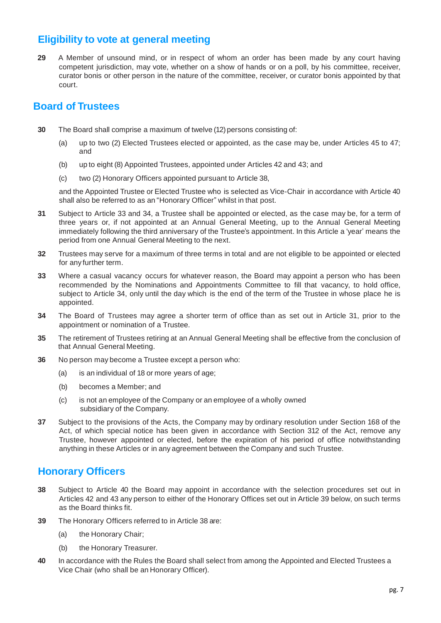#### **Eligibility to vote at general meeting**

**29** A Member of unsound mind, or in respect of whom an order has been made by any court having competent jurisdiction, may vote, whether on a show of hands or on a poll, by his committee, receiver, curator bonis or other person in the nature of the committee, receiver, or curator bonis appointed by that court.

#### **Board of Trustees**

- **30** The Board shall comprise a maximum of twelve (12) persons consisting of:
	- (a) up to two (2) Elected Trustees elected or appointed, as the case may be, under Articles 45 to 47; and
	- (b) up to eight (8) Appointed Trustees, appointed under Articles 42 and 43; and
	- (c) two (2) Honorary Officers appointed pursuant to Article 38,

and the Appointed Trustee or Elected Trustee who is selected as Vice-Chair in accordance with Article 40 shall also be referred to as an "Honorary Officer" whilst in that post.

- **31** Subject to Article 33 and 34, a Trustee shall be appointed or elected, as the case may be, for a term of three years or, if not appointed at an Annual General Meeting, up to the Annual General Meeting immediately following the third anniversary of the Trustee's appointment. In this Article a 'year' means the period from one Annual General Meeting to the next.
- **32** Trustees may serve for a maximum of three terms in total and are not eligible to be appointed or elected for any further term.
- **33** Where a casual vacancy occurs for whatever reason, the Board may appoint a person who has been recommended by the Nominations and Appointments Committee to fill that vacancy, to hold office, subject to Article 34, only until the day which is the end of the term of the Trustee in whose place he is appointed.
- **34** The Board of Trustees may agree a shorter term of office than as set out in Article 31, prior to the appointment or nomination of a Trustee.
- **35** The retirement of Trustees retiring at an Annual General Meeting shall be effective from the conclusion of that Annual General Meeting.
- **36** No person may become a Trustee except a person who:
	- (a) is an individual of 18 or more years of age;
	- (b) becomes a Member; and
	- (c) is not an employee of the Company or an employee of a wholly owned subsidiary of the Company.
- **37** Subject to the provisions of the Acts, the Company may by ordinary resolution under Section 168 of the Act, of which special notice has been given in accordance with Section 312 of the Act, remove any Trustee, however appointed or elected, before the expiration of his period of office notwithstanding anything in these Articles or in any agreement between the Company and such Trustee.

#### **Honorary Officers**

- **38** Subject to Article 40 the Board may appoint in accordance with the selection procedures set out in Articles 42 and 43 any person to either of the Honorary Offices set out in Article 39 below, on such terms as the Board thinks fit.
- **39** The Honorary Officers referred to in Article 38 are:
	- (a) the Honorary Chair;
	- (b) the Honorary Treasurer.
- **40** In accordance with the Rules the Board shall select from among the Appointed and Elected Trustees a Vice Chair (who shall be an Honorary Officer).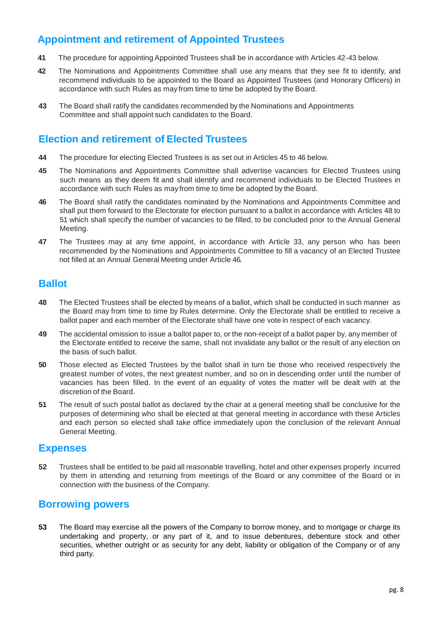#### **Appointment and retirement of Appointed Trustees**

- **41** The procedure for appointing Appointed Trustees shall be in accordance with Articles 42-43 below.
- **42** The Nominations and Appointments Committee shall use any means that they see fit to identify, and recommend individuals to be appointed to the Board as Appointed Trustees (and Honorary Officers) in accordance with such Rules as may from time to time be adopted by the Board.
- **43** The Board shall ratify the candidates recommended by the Nominations and Appointments Committee and shall appoint such candidates to the Board.

#### **Election and retirement of Elected Trustees**

- **44** The procedure for electing Elected Trustees is as set out in Articles 45 to 46 below.
- **45** The Nominations and Appointments Committee shall advertise vacancies for Elected Trustees using such means as they deem fit and shall identify and recommend individuals to be Elected Trustees in accordance with such Rules as may from time to time be adopted by the Board.
- **46** The Board shall ratify the candidates nominated by the Nominations and Appointments Committee and shall put them forward to the Electorate for election pursuant to a ballot in accordance with Articles 48 to 51 which shall specify the number of vacancies to be filled, to be concluded prior to the Annual General Meeting.
- **47** The Trustees may at any time appoint, in accordance with Article 33, any person who has been recommended by the Nominations and Appointments Committee to fill a vacancy of an Elected Trustee not filled at an Annual General Meeting under Article 46.

#### **Ballot**

- **48** The Elected Trustees shall be elected by means of a ballot, which shall be conducted in such manner as the Board may from time to time by Rules determine. Only the Electorate shall be entitled to receive a ballot paper and each member of the Electorate shall have one vote in respect of each vacancy.
- **49** The accidental omission to issue a ballot paper to, or the non-receipt of a ballot paper by, any member of the Electorate entitled to receive the same, shall not invalidate any ballot or the result of any election on the basis of such ballot.
- **50** Those elected as Elected Trustees by the ballot shall in turn be those who received respectively the greatest number of votes, the next greatest number, and so on in descending order until the number of vacancies has been filled. In the event of an equality of votes the matter will be dealt with at the discretion of the Board.
- **51** The result of such postal ballot as declared by the chair at a general meeting shall be conclusive for the purposes of determining who shall be elected at that general meeting in accordance with these Articles and each person so elected shall take office immediately upon the conclusion of the relevant Annual General Meeting.

#### **Expenses**

**52** Trustees shall be entitled to be paid all reasonable travelling, hotel and other expenses properly incurred by them in attending and returning from meetings of the Board or any committee of the Board or in connection with the business of the Company.

#### **Borrowing powers**

**53** The Board may exercise all the powers of the Company to borrow money, and to mortgage or charge its undertaking and property, or any part of it, and to issue debentures, debenture stock and other securities, whether outright or as security for any debt, liability or obligation of the Company or of any third party.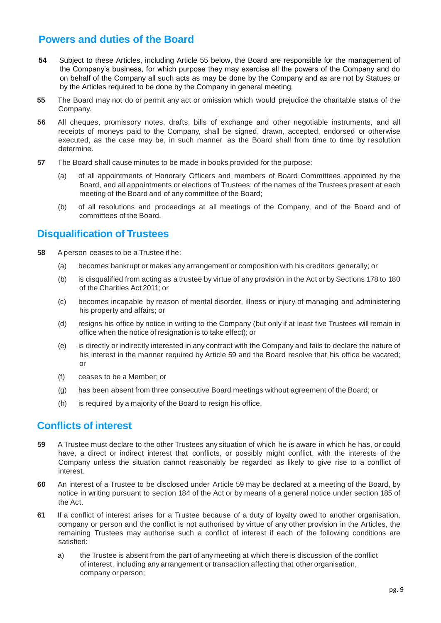#### **Powers and duties of the Board**

- **54** Subject to these Articles, including Article 55 below, the Board are responsible for the management of the Company's business, for which purpose they may exercise all the powers of the Company and do on behalf of the Company all such acts as may be done by the Company and as are not by Statues or by the Articles required to be done by the Company in general meeting.
- **55** The Board may not do or permit any act or omission which would prejudice the charitable status of the Company.
- **56** All cheques, promissory notes, drafts, bills of exchange and other negotiable instruments, and all receipts of moneys paid to the Company, shall be signed, drawn, accepted, endorsed or otherwise executed, as the case may be, in such manner as the Board shall from time to time by resolution determine.
- **57** The Board shall cause minutes to be made in books provided for the purpose:
	- (a) of all appointments of Honorary Officers and members of Board Committees appointed by the Board, and all appointments or elections of Trustees; of the names of the Trustees present at each meeting of the Board and of any committee of the Board;
	- (b) of all resolutions and proceedings at all meetings of the Company, and of the Board and of committees of the Board.

#### **Disqualification of Trustees**

- **58** Aperson ceases to be a Trustee if he:
	- (a) becomes bankrupt or makes any arrangement or composition with his creditors generally; or
	- (b) is disqualified from acting as a trustee by virtue of any provision in the Act or by Sections 178 to 180 of the Charities Act 2011; or
	- (c) becomes incapable by reason of mental disorder, illness or injury of managing and administering his property and affairs; or
	- (d) resigns his office by notice in writing to the Company (but only if at least five Trustees will remain in office when the notice of resignation is to take effect); or
	- (e) is directly or indirectly interested in any contract with the Company and fails to declare the nature of his interest in the manner required by Article 59 and the Board resolve that his office be vacated; or
	- (f) ceases to be a Member; or
	- (g) has been absent from three consecutive Board meetings without agreement of the Board; or
	- (h) is required by a majority of the Board to resign his office.

#### **Conflicts of interest**

- **59** A Trustee must declare to the other Trustees any situation of which he is aware in which he has, or could have, a direct or indirect interest that conflicts, or possibly might conflict, with the interests of the Company unless the situation cannot reasonably be regarded as likely to give rise to a conflict of interest.
- **60** An interest of a Trustee to be disclosed under Article 59 may be declared at a meeting of the Board, by notice in writing pursuant to section 184 of the Act or by means of a general notice under section 185 of the Act.
- **61** If a conflict of interest arises for a Trustee because of a duty of loyalty owed to another organisation, company or person and the conflict is not authorised by virtue of any other provision in the Articles, the remaining Trustees may authorise such a conflict of interest if each of the following conditions are satisfied:
	- a) the Trustee is absent from the part of any meeting at which there is discussion of the conflict of interest, including any arrangement or transaction affecting that other organisation, company or person;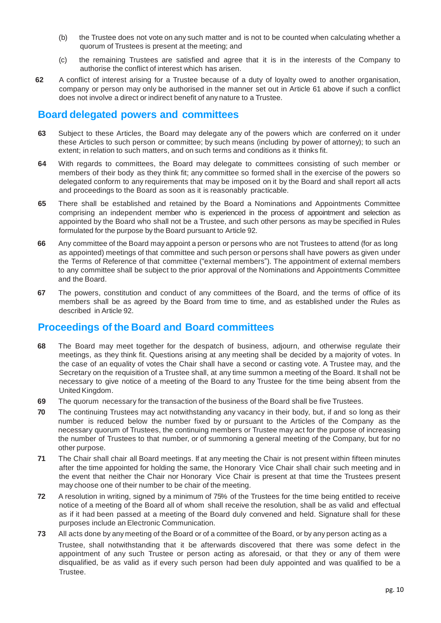- (b) the Trustee does not vote on any such matter and is not to be counted when calculating whether a quorum of Trustees is present at the meeting; and
- (c) the remaining Trustees are satisfied and agree that it is in the interests of the Company to authorise the conflict of interest which has arisen.
- **62** A conflict of interest arising for a Trustee because of a duty of loyalty owed to another organisation, company or person may only be authorised in the manner set out in Article 61 above if such a conflict does not involve a direct or indirect benefit of any nature to a Trustee.

#### **Board delegated powers and committees**

- **63** Subject to these Articles, the Board may delegate any of the powers which are conferred on it under these Articles to such person or committee; by such means (including by power of attorney); to such an extent; in relation to such matters, and on such terms and conditions as it thinks fit.
- **64** With regards to committees, the Board may delegate to committees consisting of such member or members of their body as they think fit; any committee so formed shall in the exercise of the powers so delegated conform to any requirements that may be imposed on it by the Board and shall report all acts and proceedings to the Board as soon as it is reasonably practicable.
- **65** There shall be established and retained by the Board a Nominations and Appointments Committee comprising an independent member who is experienced in the process of appointment and selection as appointed by the Board who shall not be a Trustee, and such other persons as may be specified in Rules formulated for the purpose by the Board pursuant to Article 92.
- **66** Any committee of the Board may appoint a person or persons who are not Trustees to attend (for as long as appointed) meetings of that committee and such person or persons shall have powers as given under the Terms of Reference of that committee ("external members"). The appointment of external members to any committee shall be subject to the prior approval of the Nominations and Appointments Committee and the Board.
- **67** The powers, constitution and conduct of any committees of the Board, and the terms of office of its members shall be as agreed by the Board from time to time, and as established under the Rules as described in Article 92.

#### **Proceedings of the Board and Board committees**

- **68** The Board may meet together for the despatch of business, adjourn, and otherwise regulate their meetings, as they think fit. Questions arising at any meeting shall be decided by a majority of votes. In the case of an equality of votes the Chair shall have a second or casting vote. A Trustee may, and the Secretary on the requisition of a Trustee shall, at any time summon a meeting of the Board. It shall not be necessary to give notice of a meeting of the Board to any Trustee for the time being absent from the United Kingdom.
- **69** The quorum necessary for the transaction of the business of the Board shall be five Trustees.
- **70** The continuing Trustees may act notwithstanding any vacancy in their body, but, if and so long as their number is reduced below the number fixed by or pursuant to the Articles of the Company as the necessary quorum of Trustees, the continuing members or Trustee may act for the purpose of increasing the number of Trustees to that number, or of summoning a general meeting of the Company, but for no other purpose.
- **71** The Chair shall chair all Board meetings. If at any meeting the Chair is not present within fifteen minutes after the time appointed for holding the same, the Honorary Vice Chair shall chair such meeting and in the event that neither the Chair nor Honorary Vice Chair is present at that time the Trustees present may choose one of their number to be chair of the meeting.
- **72** A resolution in writing, signed by a minimum of 75% of the Trustees for the time being entitled to receive notice of a meeting of the Board all of whom shall receive the resolution, shall be as valid and effectual as if it had been passed at a meeting of the Board duly convened and held. Signature shall for these purposes include an Electronic Communication.
- **73** All acts done by any meeting of the Board or of a committee of the Board, or by any person acting as a Trustee, shall notwithstanding that it be afterwards discovered that there was some defect in the appointment of any such Trustee or person acting as aforesaid, or that they or any of them were disqualified, be as valid as if every such person had been duly appointed and was qualified to be a Trustee.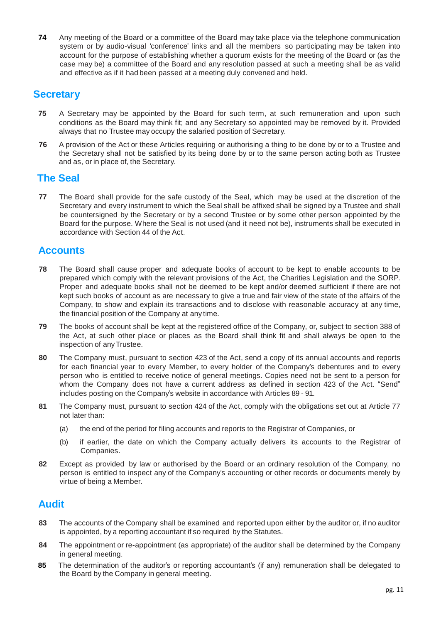**74** Any meeting of the Board or a committee of the Board may take place via the telephone communication system or by audio-visual 'conference' links and all the members so participating may be taken into account for the purpose of establishing whether a quorum exists for the meeting of the Board or (as the case may be) a committee of the Board and any resolution passed at such a meeting shall be as valid and effective as if it had been passed at a meeting duly convened and held.

#### **Secretary**

- **75** A Secretary may be appointed by the Board for such term, at such remuneration and upon such conditions as the Board may think fit; and any Secretary so appointed may be removed by it. Provided always that no Trustee may occupy the salaried position of Secretary.
- **76** A provision of the Act or these Articles requiring or authorising a thing to be done by or to a Trustee and the Secretary shall not be satisfied by its being done by or to the same person acting both as Trustee and as, or in place of, the Secretary.

#### **The Seal**

**77** The Board shall provide for the safe custody of the Seal, which may be used at the discretion of the Secretary and every instrument to which the Seal shall be affixed shall be signed by a Trustee and shall be countersigned by the Secretary or by a second Trustee or by some other person appointed by the Board for the purpose. Where the Seal is not used (and it need not be), instruments shall be executed in accordance with Section 44 of the Act.

#### **Accounts**

- **78** The Board shall cause proper and adequate books of account to be kept to enable accounts to be prepared which comply with the relevant provisions of the Act, the Charities Legislation and the SORP. Proper and adequate books shall not be deemed to be kept and/or deemed sufficient if there are not kept such books of account as are necessary to give a true and fair view of the state of the affairs of the Company, to show and explain its transactions and to disclose with reasonable accuracy at any time, the financial position of the Company at any time.
- **79** The books of account shall be kept at the registered office of the Company, or, subject to section 388 of the Act, at such other place or places as the Board shall think fit and shall always be open to the inspection of anyTrustee.
- **80** The Company must, pursuant to section 423 of the Act, send a copy of its annual accounts and reports for each financial year to every Member, to every holder of the Company's debentures and to every person who is entitled to receive notice of general meetings. Copies need not be sent to a person for whom the Company does not have a current address as defined in section 423 of the Act. "Send" includes posting on the Company's website in accordance with Articles 89 - 91.
- **81** The Company must, pursuant to section 424 of the Act, comply with the obligations set out at Article 77 not later than:
	- (a) the end of the period for filing accounts and reports to the Registrar of Companies, or
	- (b) if earlier, the date on which the Company actually delivers its accounts to the Registrar of Companies.
- **82** Except as provided by law or authorised by the Board or an ordinary resolution of the Company, no person is entitled to inspect any of the Company's accounting or other records or documents merely by virtue of being a Member.

#### **Audit**

- **83** The accounts of the Company shall be examined and reported upon either by the auditor or, if no auditor is appointed, by a reporting accountant if so required by the Statutes.
- **84** The appointment or re-appointment (as appropriate) of the auditor shall be determined by the Company in general meeting.
- **85** The determination of the auditor's or reporting accountant's (if any) remuneration shall be delegated to the Board by the Company in general meeting.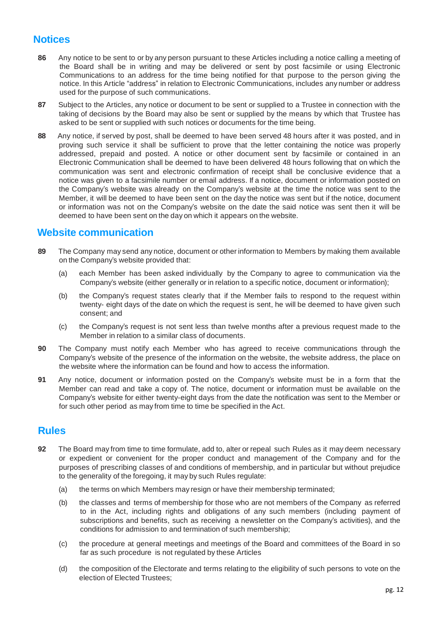#### **Notices**

- **86** Any notice to be sent to or by any person pursuant to these Articles including a notice calling a meeting of the Board shall be in writing and may be delivered or sent by post facsimile or using Electronic Communications to an address for the time being notified for that purpose to the person giving the notice. In this Article "address" in relation to Electronic Communications, includes any number or address used for the purpose of such communications.
- **87** Subject to the Articles, any notice or document to be sent or supplied to a Trustee in connection with the taking of decisions by the Board may also be sent or supplied by the means by which that Trustee has asked to be sent or supplied with such notices or documents for the time being.
- **88** Any notice, if served by post, shall be deemed to have been served 48 hours after it was posted, and in proving such service it shall be sufficient to prove that the letter containing the notice was properly addressed, prepaid and posted. A notice or other document sent by facsimile or contained in an Electronic Communication shall be deemed to have been delivered 48 hours following that on which the communication was sent and electronic confirmation of receipt shall be conclusive evidence that a notice was given to a facsimile number or email address. If a notice, document or information posted on the Company's website was already on the Company's website at the time the notice was sent to the Member, it will be deemed to have been sent on the day the notice was sent but if the notice, document or information was not on the Company's website on the date the said notice was sent then it will be deemed to have been sent on the day on which it appears on the website.

#### **Website communication**

- **89** The Company may send any notice, document or other information to Members by making them available on the Company's website provided that:
	- (a) each Member has been asked individually by the Company to agree to communication via the Company's website (either generally or in relation to a specific notice, document or information);
	- (b) the Company's request states clearly that if the Member fails to respond to the request within twenty- eight days of the date on which the request is sent, he will be deemed to have given such consent; and
	- (c) the Company's request is not sent less than twelve months after a previous request made to the Member in relation to a similar class of documents.
- **90** The Company must notify each Member who has agreed to receive communications through the Company's website of the presence of the information on the website, the website address, the place on the website where the information can be found and how to access the information.
- **91** Any notice, document or information posted on the Company's website must be in a form that the Member can read and take a copy of. The notice, document or information must be available on the Company's website for either twenty-eight days from the date the notification was sent to the Member or for such other period as may from time to time be specified in the Act.

#### **Rules**

- **92** The Board may from time to time formulate, add to, alter or repeal such Rules as it may deem necessary or expedient or convenient for the proper conduct and management of the Company and for the purposes of prescribing classes of and conditions of membership, and in particular but without prejudice to the generality of the foregoing, it may by such Rules regulate:
	- (a) the terms on which Members may resign or have their membership terminated;
	- (b) the classes and terms of membership for those who are not members of the Company as referred to in the Act, including rights and obligations of any such members (including payment of subscriptions and benefits, such as receiving a newsletter on the Company's activities), and the conditions for admission to and termination of such membership;
	- (c) the procedure at general meetings and meetings of the Board and committees of the Board in so far as such procedure is not regulated by these Articles
	- (d) the composition of the Electorate and terms relating to the eligibility of such persons to vote on the election of Elected Trustees;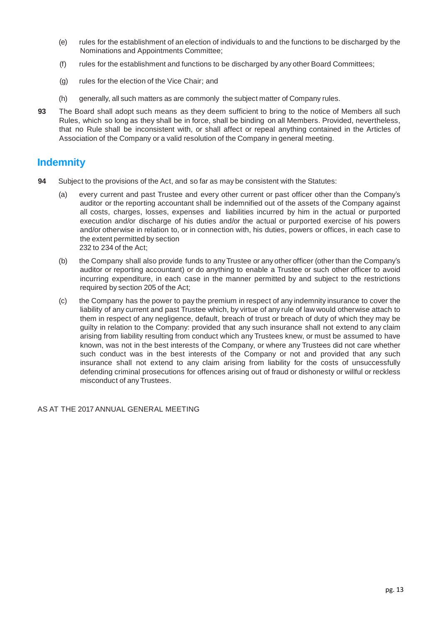- (e) rules for the establishment of an election of individuals to and the functions to be discharged by the Nominations and Appointments Committee;
- (f) rules for the establishment and functions to be discharged by any other Board Committees;
- (g) rules for the election of the Vice Chair; and
- (h) generally, all such matters as are commonly the subject matter of Company rules.
- **93** The Board shall adopt such means as they deem sufficient to bring to the notice of Members all such Rules, which so long as they shall be in force, shall be binding on all Members. Provided, nevertheless, that no Rule shall be inconsistent with, or shall affect or repeal anything contained in the Articles of Association of the Company or a valid resolution of the Company in general meeting.

#### **Indemnity**

- **94** Subject to the provisions of the Act, and so far as may be consistent with the Statutes:
	- (a) every current and past Trustee and every other current or past officer other than the Company's auditor or the reporting accountant shall be indemnified out of the assets of the Company against all costs, charges, losses, expenses and liabilities incurred by him in the actual or purported execution and/or discharge of his duties and/or the actual or purported exercise of his powers and/or otherwise in relation to, or in connection with, his duties, powers or offices, in each case to the extent permitted by section 232 to 234 of the Act;
	- (b) the Company shall also provide funds to anyTrustee or any other officer (other than the Company's auditor or reporting accountant) or do anything to enable a Trustee or such other officer to avoid incurring expenditure, in each case in the manner permitted by and subject to the restrictions required by section 205 of the Act;
	- (c) the Company has the power to pay the premium in respect of any indemnity insurance to cover the liability of any current and past Trustee which, by virtue of any rule of law would otherwise attach to them in respect of any negligence, default, breach of trust or breach of duty of which they may be guilty in relation to the Company: provided that any such insurance shall not extend to any claim arising from liability resulting from conduct which any Trustees knew, or must be assumed to have known, was not in the best interests of the Company, or where any Trustees did not care whether such conduct was in the best interests of the Company or not and provided that any such insurance shall not extend to any claim arising from liability for the costs of unsuccessfully defending criminal prosecutions for offences arising out of fraud or dishonesty or willful or reckless misconduct of any Trustees.

AS AT THE 2017 ANNUAL GENERAL MEETING